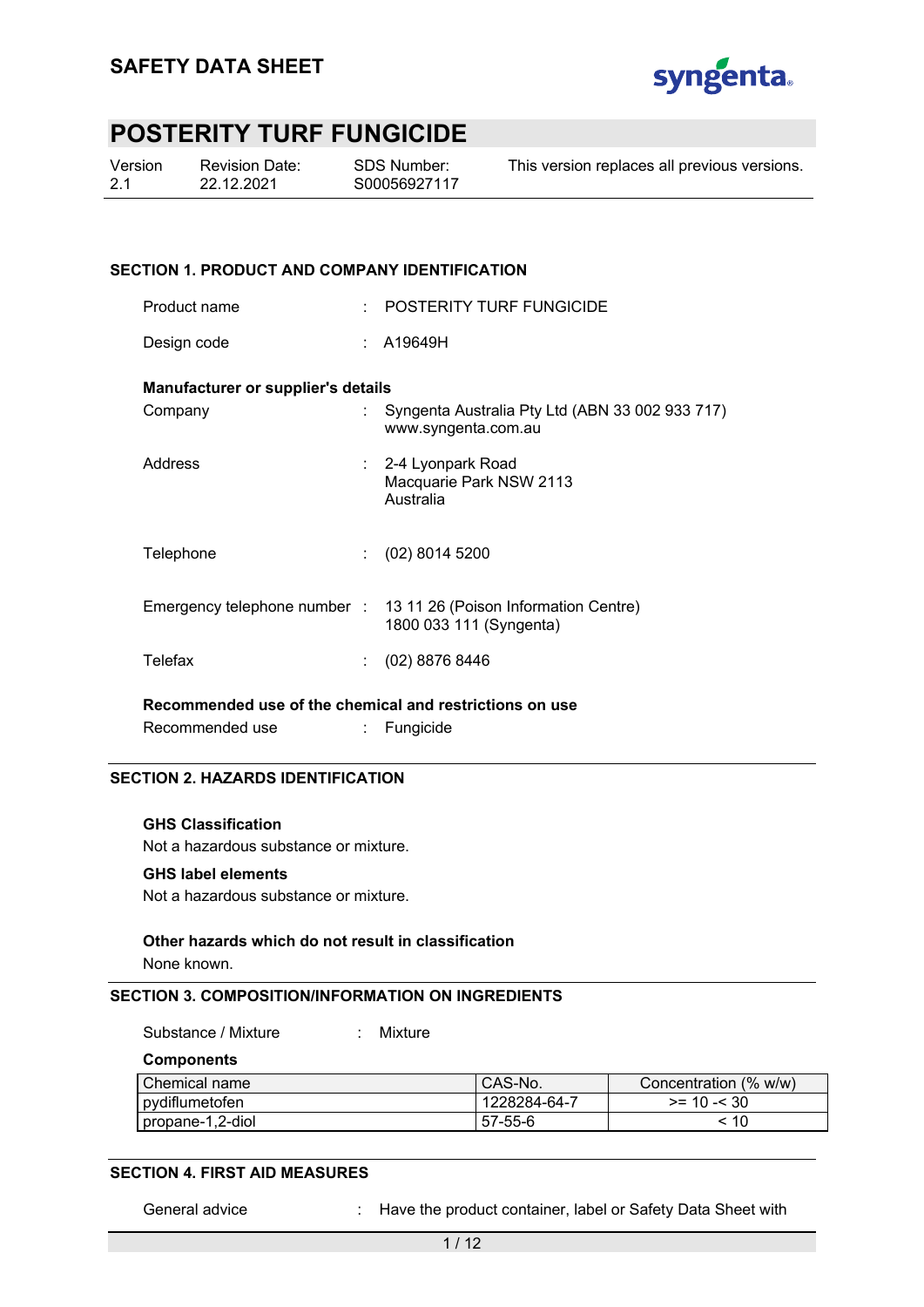

| Version | Revision Date: | SDS Number:  | This version replaces all previous versions. |
|---------|----------------|--------------|----------------------------------------------|
| 2.1     | 22.12.2021     | S00056927117 |                                              |

#### **SECTION 1. PRODUCT AND COMPANY IDENTIFICATION**

| Product name                                                               | <b>POSTERITY TURF FUNGICIDE</b>                                                              |
|----------------------------------------------------------------------------|----------------------------------------------------------------------------------------------|
| Design code                                                                | : A19649H                                                                                    |
| Manufacturer or supplier's details                                         |                                                                                              |
| Company                                                                    | Syngenta Australia Pty Ltd (ABN 33 002 933 717)<br>www.syngenta.com.au                       |
| Address                                                                    | : 2-4 Lyonpark Road<br>Macquarie Park NSW 2113<br>Australia                                  |
| Telephone                                                                  | $(02)$ 8014 5200                                                                             |
|                                                                            | Emergency telephone number : 13 11 26 (Poison Information Centre)<br>1800 033 111 (Syngenta) |
| Telefax                                                                    | $(02)$ 8876 8446                                                                             |
| بالمعادية والمفاومين المعرق الممالون والمستقاة الكمالية والمساوي والمستوقف |                                                                                              |

**Recommended use of the chemical and restrictions on use**  Recommended use : Fungicide

#### **SECTION 2. HAZARDS IDENTIFICATION**

#### **GHS Classification**

Not a hazardous substance or mixture.

#### **GHS label elements**

Not a hazardous substance or mixture.

#### **Other hazards which do not result in classification**

None known.

#### **SECTION 3. COMPOSITION/INFORMATION ON INGREDIENTS**

Substance / Mixture : Mixture

**Components** 

| Chemical name    | CAS-No.       | Concentration (% w/w) |
|------------------|---------------|-----------------------|
| pydiflumetofen   | 1228284-64-7  | $>= 10 - 530$         |
| propane-1,2-diol | $57 - 55 - 6$ | -10                   |

#### **SECTION 4. FIRST AID MEASURES**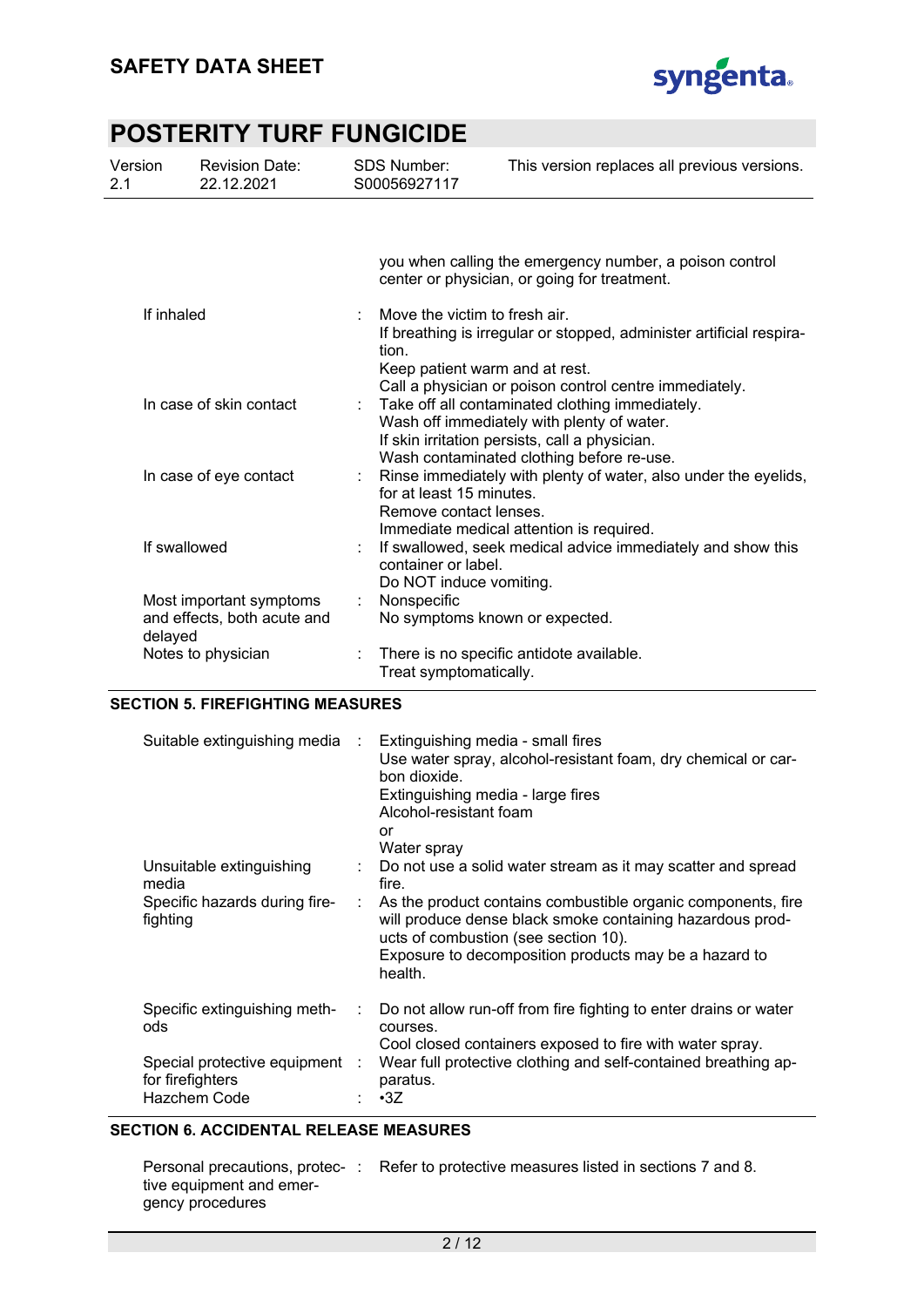

| Version<br>2.1          | <b>Revision Date:</b><br>22.12.2021                    | SDS Number:<br>S00056927117 |                                                    | This version replaces all previous versions.                                                                                                                                                 |
|-------------------------|--------------------------------------------------------|-----------------------------|----------------------------------------------------|----------------------------------------------------------------------------------------------------------------------------------------------------------------------------------------------|
|                         |                                                        |                             |                                                    | you when calling the emergency number, a poison control<br>center or physician, or going for treatment.                                                                                      |
| If inhaled              |                                                        | tion.                       | Move the victim to fresh air.                      | If breathing is irregular or stopped, administer artificial respira-<br>Keep patient warm and at rest.<br>Call a physician or poison control centre immediately.                             |
| In case of skin contact |                                                        |                             |                                                    | Take off all contaminated clothing immediately.<br>Wash off immediately with plenty of water.<br>If skin irritation persists, call a physician.<br>Wash contaminated clothing before re-use. |
|                         | In case of eye contact                                 |                             | for at least 15 minutes.<br>Remove contact lenses. | : Rinse immediately with plenty of water, also under the eyelids,<br>Immediate medical attention is required.                                                                                |
|                         | If swallowed                                           |                             | container or label.<br>Do NOT induce vomiting.     | If swallowed, seek medical advice immediately and show this                                                                                                                                  |
| delayed                 | Most important symptoms<br>and effects, both acute and | Nonspecific<br>÷.           |                                                    | No symptoms known or expected.                                                                                                                                                               |
|                         | Notes to physician                                     |                             | Treat symptomatically.                             | There is no specific antidote available.                                                                                                                                                     |

#### **SECTION 5. FIREFIGHTING MEASURES**

| Suitable extinguishing media                                       | $\sim 10$ | Extinguishing media - small fires<br>Use water spray, alcohol-resistant foam, dry chemical or car-<br>bon dioxide.<br>Extinguishing media - large fires<br>Alcohol-resistant foam<br>or<br>Water spray                                |
|--------------------------------------------------------------------|-----------|---------------------------------------------------------------------------------------------------------------------------------------------------------------------------------------------------------------------------------------|
| Unsuitable extinguishing<br>media                                  |           | Do not use a solid water stream as it may scatter and spread<br>fire.                                                                                                                                                                 |
| Specific hazards during fire-<br>fighting                          |           | As the product contains combustible organic components, fire<br>will produce dense black smoke containing hazardous prod-<br>ucts of combustion (see section 10).<br>Exposure to decomposition products may be a hazard to<br>health. |
| Specific extinguishing meth-<br>ods                                |           | Do not allow run-off from fire fighting to enter drains or water<br>courses.<br>Cool closed containers exposed to fire with water spray.                                                                                              |
| Special protective equipment :<br>for firefighters<br>Hazchem Code |           | Wear full protective clothing and self-contained breathing ap-<br>paratus.<br>$\cdot$ 3Z                                                                                                                                              |

### **SECTION 6. ACCIDENTAL RELEASE MEASURES**

|                          | Personal precautions, protec-: Refer to protective measures listed in sections 7 and 8. |
|--------------------------|-----------------------------------------------------------------------------------------|
| tive equipment and emer- |                                                                                         |
| gency procedures         |                                                                                         |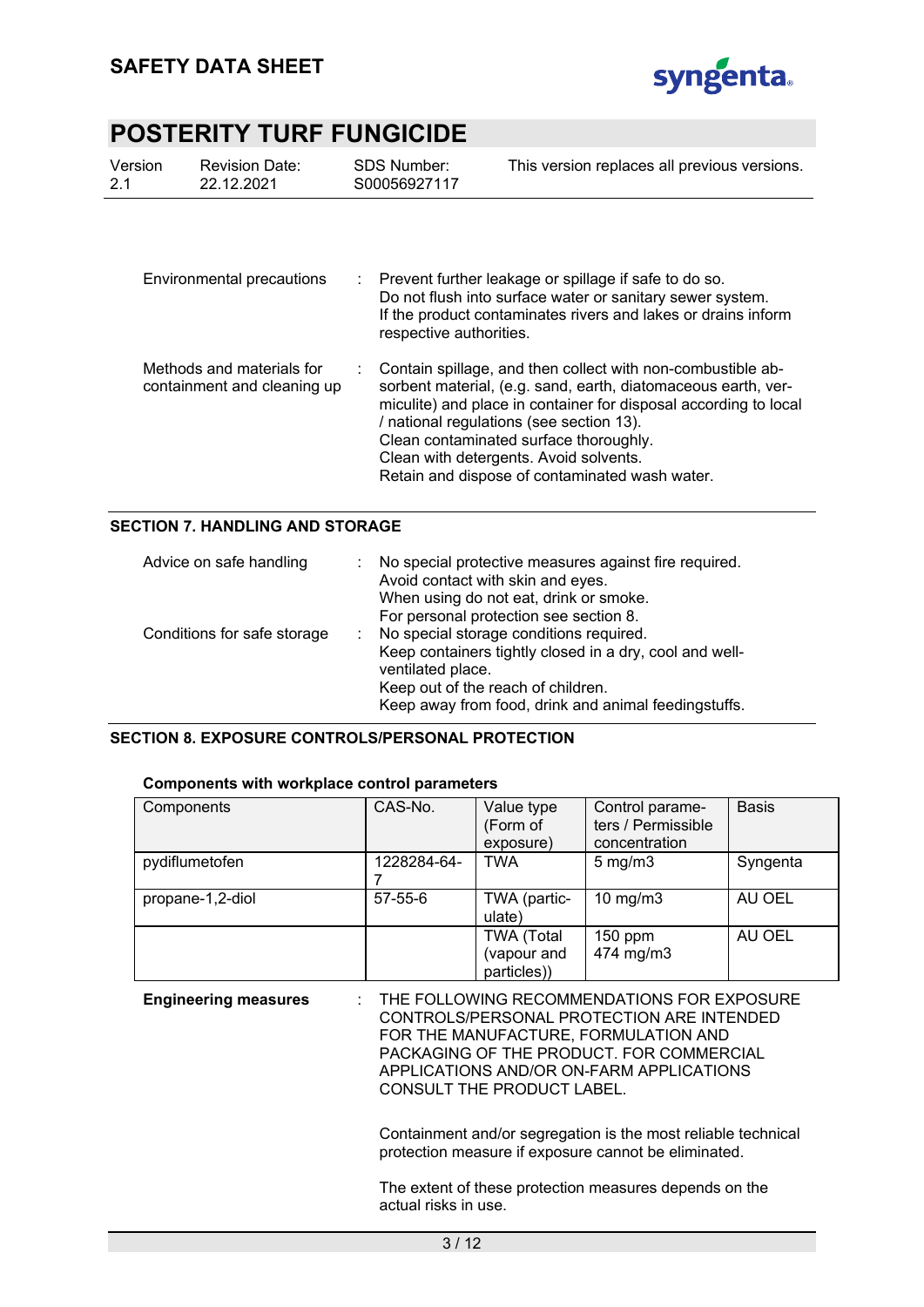

| Version<br>2.1                                           | <b>Revision Date:</b><br>22.12.2021 | <b>SDS Number:</b><br>S00056927117 | This version replaces all previous versions.                                                                                                                                                                                                                                                                                                                                       |
|----------------------------------------------------------|-------------------------------------|------------------------------------|------------------------------------------------------------------------------------------------------------------------------------------------------------------------------------------------------------------------------------------------------------------------------------------------------------------------------------------------------------------------------------|
| Environmental precautions                                |                                     | respective authorities.            | $\therefore$ Prevent further leakage or spillage if safe to do so.<br>Do not flush into surface water or sanitary sewer system.<br>If the product contaminates rivers and lakes or drains inform                                                                                                                                                                                   |
| Methods and materials for<br>containment and cleaning up |                                     |                                    | Contain spillage, and then collect with non-combustible ab-<br>sorbent material, (e.g. sand, earth, diatomaceous earth, ver-<br>miculite) and place in container for disposal according to local<br>/ national regulations (see section 13).<br>Clean contaminated surface thoroughly.<br>Clean with detergents. Avoid solvents.<br>Retain and dispose of contaminated wash water. |

### **SECTION 7. HANDLING AND STORAGE**

| Advice on safe handling     | No special protective measures against fire required.<br>Avoid contact with skin and eyes.<br>When using do not eat, drink or smoke.<br>For personal protection see section 8.                                        |  |  |
|-----------------------------|-----------------------------------------------------------------------------------------------------------------------------------------------------------------------------------------------------------------------|--|--|
| Conditions for safe storage | No special storage conditions required.<br>Keep containers tightly closed in a dry, cool and well-<br>ventilated place.<br>Keep out of the reach of children.<br>Keep away from food, drink and animal feedingstuffs. |  |  |

#### **SECTION 8. EXPOSURE CONTROLS/PERSONAL PROTECTION**

| Components with workplace control parameters |               |                                                 |                                                        |              |  |  |
|----------------------------------------------|---------------|-------------------------------------------------|--------------------------------------------------------|--------------|--|--|
| Components                                   | CAS-No.       | Value type<br>(Form of<br>exposure)             | Control parame-<br>ters / Permissible<br>concentration | <b>Basis</b> |  |  |
| pydiflumetofen                               | 1228284-64-   | <b>TWA</b>                                      | $5 \text{ mg/m}$ 3                                     | Syngenta     |  |  |
| propane-1,2-diol                             | $57 - 55 - 6$ | TWA (partic-<br>ulate)                          | $10 \text{ mg/m}$                                      | AU OEL       |  |  |
|                                              |               | <b>TWA (Total</b><br>(vapour and<br>particles)) | $150$ ppm<br>474 mg/m3                                 | AU OEL       |  |  |

#### **Components with workplace control parameters**

| <b>Engineering measures</b> | $\pm$ THE FOLLOWING RECOMMENDATIONS FOR EXPOSURE<br>CONTROLS/PERSONAL PROTECTION ARE INTENDED<br>FOR THE MANUFACTURE. FORMULATION AND<br>PACKAGING OF THE PRODUCT. FOR COMMERCIAL |
|-----------------------------|-----------------------------------------------------------------------------------------------------------------------------------------------------------------------------------|
|                             | APPLICATIONS AND/OR ON-FARM APPLICATIONS<br>CONSULT THE PRODUCT LABEL.                                                                                                            |

Containment and/or segregation is the most reliable technical protection measure if exposure cannot be eliminated.

The extent of these protection measures depends on the actual risks in use.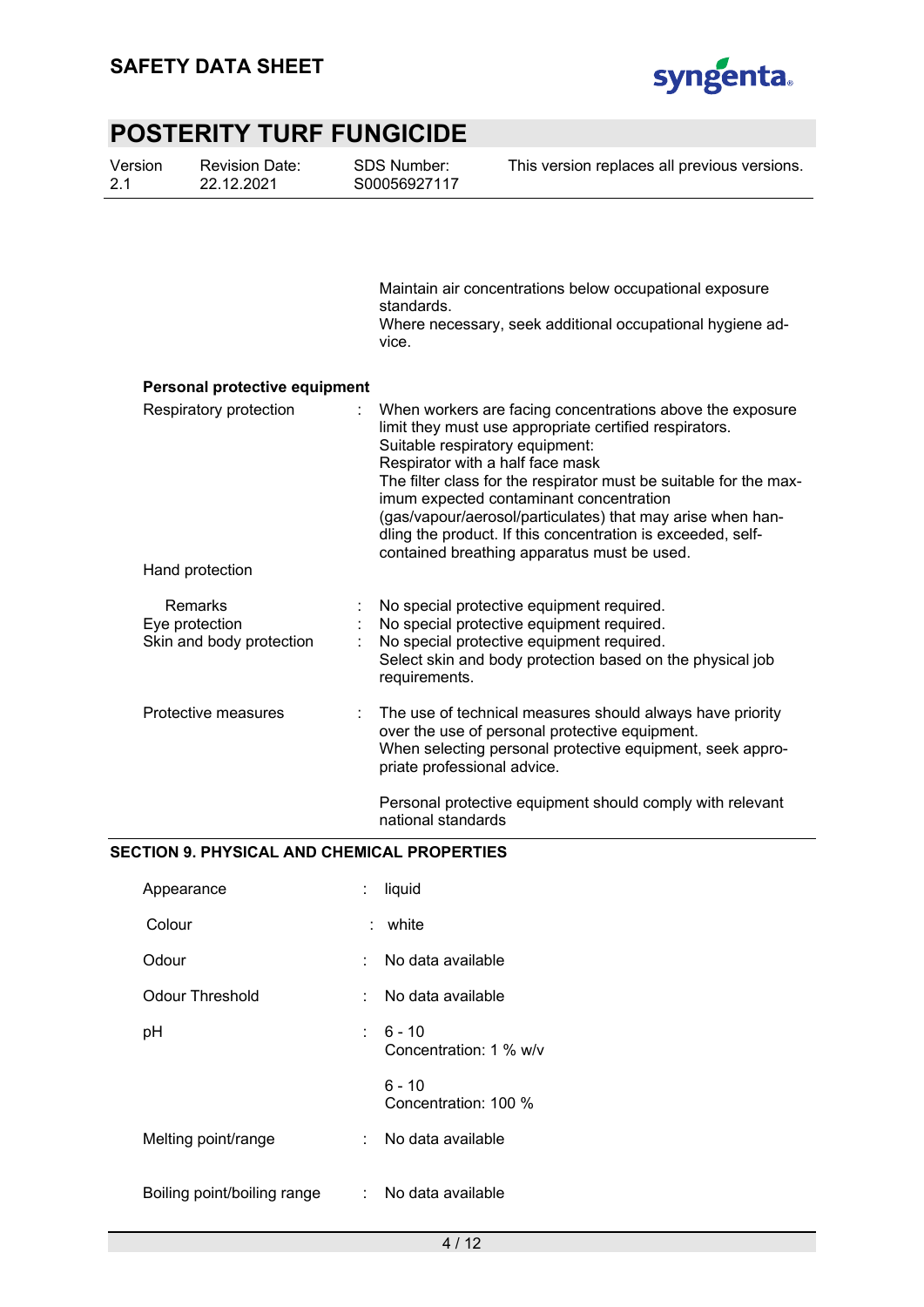Version



This version replaces all previous versions.

# **POSTERITY TURF FUNGICIDE**

SDS Number:

Revision Date:

| 2.1 | 22.12.2021                                            | S00056927117                                                                                                                                                                                                                                                                                                                                                                                                                                                                           |
|-----|-------------------------------------------------------|----------------------------------------------------------------------------------------------------------------------------------------------------------------------------------------------------------------------------------------------------------------------------------------------------------------------------------------------------------------------------------------------------------------------------------------------------------------------------------------|
|     |                                                       | Maintain air concentrations below occupational exposure<br>standards.<br>Where necessary, seek additional occupational hygiene ad-<br>vice.                                                                                                                                                                                                                                                                                                                                            |
|     | Personal protective equipment                         |                                                                                                                                                                                                                                                                                                                                                                                                                                                                                        |
|     | Respiratory protection<br>Hand protection             | When workers are facing concentrations above the exposure<br>limit they must use appropriate certified respirators.<br>Suitable respiratory equipment:<br>Respirator with a half face mask<br>The filter class for the respirator must be suitable for the max-<br>imum expected contaminant concentration<br>(gas/vapour/aerosol/particulates) that may arise when han-<br>dling the product. If this concentration is exceeded, self-<br>contained breathing apparatus must be used. |
|     |                                                       |                                                                                                                                                                                                                                                                                                                                                                                                                                                                                        |
|     | Remarks<br>Eye protection<br>Skin and body protection | No special protective equipment required.<br>No special protective equipment required.<br>No special protective equipment required.<br>Select skin and body protection based on the physical job<br>requirements.                                                                                                                                                                                                                                                                      |
|     | Protective measures                                   | The use of technical measures should always have priority<br>over the use of personal protective equipment.<br>When selecting personal protective equipment, seek appro-<br>priate professional advice.                                                                                                                                                                                                                                                                                |
|     |                                                       | Personal protective equipment should comply with relevant<br>national standards                                                                                                                                                                                                                                                                                                                                                                                                        |

### **SECTION 9. PHYSICAL AND CHEMICAL PROPERTIES**

| Appearance                  | t. | liquid                               |
|-----------------------------|----|--------------------------------------|
| Colour                      | t. | white                                |
| Odour                       | ٠  | No data available                    |
| Odour Threshold             | t. | No data available                    |
| pH                          |    | $: 6 - 10$<br>Concentration: 1 % w/v |
|                             |    | $6 - 10$<br>Concentration: 100 %     |
| Melting point/range         | t. | No data available                    |
| Boiling point/boiling range | t. | No data available                    |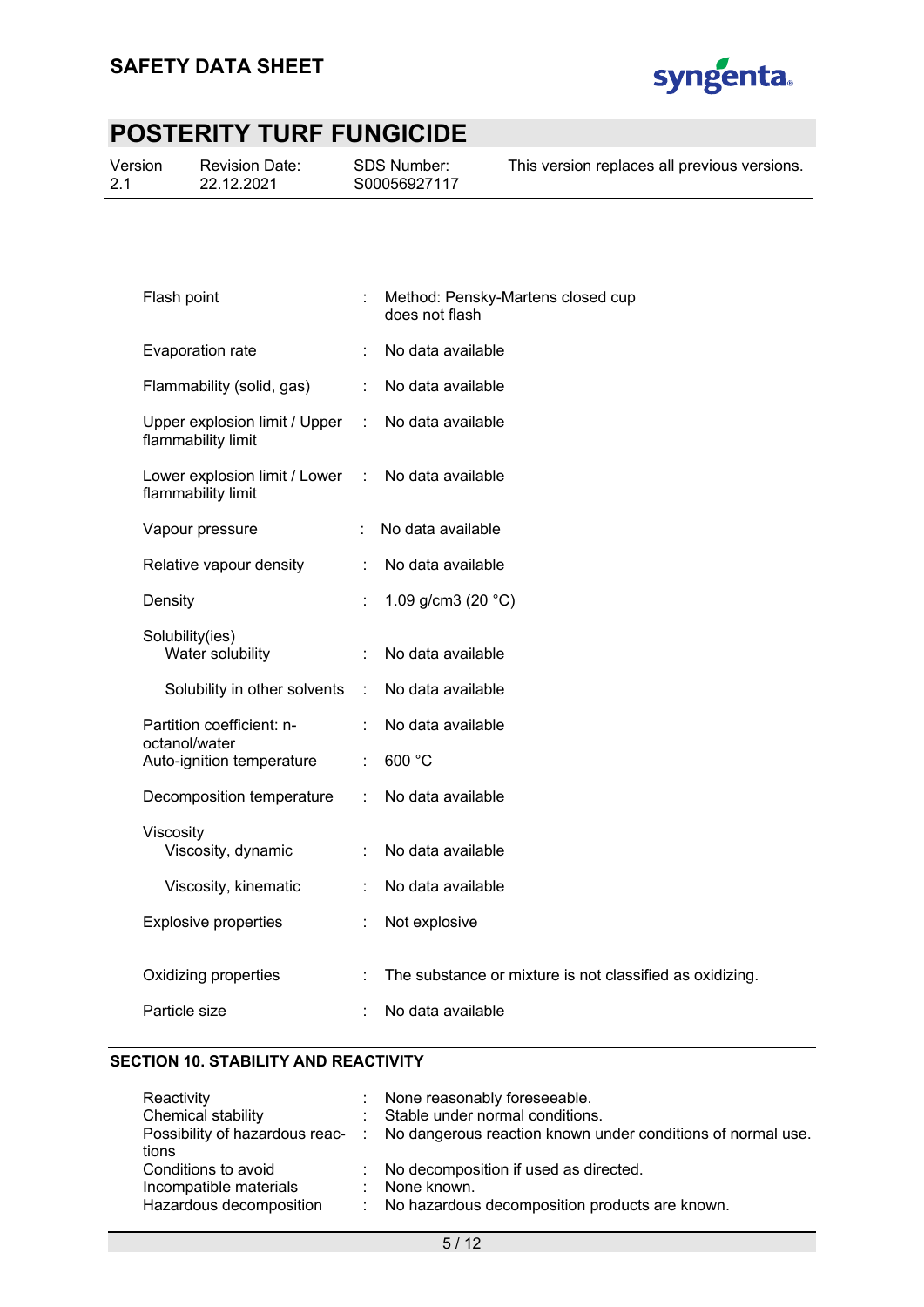

|  | Version | <b>SDS Number:</b><br><b>Revision Date:</b><br>S00056927117<br>22.12.2021 | This version replaces all previous versions. |
|--|---------|---------------------------------------------------------------------------|----------------------------------------------|
|--|---------|---------------------------------------------------------------------------|----------------------------------------------|

| Flash point                                         |    | Method: Pensky-Martens closed cup<br>does not flash      |
|-----------------------------------------------------|----|----------------------------------------------------------|
| Evaporation rate                                    |    | No data available                                        |
| Flammability (solid, gas)                           |    | No data available                                        |
| Upper explosion limit / Upper<br>flammability limit | ÷. | No data available                                        |
| Lower explosion limit / Lower<br>flammability limit | ÷  | No data available                                        |
| Vapour pressure                                     |    | No data available                                        |
| Relative vapour density                             | ÷  | No data available                                        |
| Density                                             |    | 1.09 g/cm3 (20 $^{\circ}$ C)                             |
| Solubility(ies)<br>Water solubility                 | ÷  | No data available                                        |
| Solubility in other solvents                        | ÷  | No data available                                        |
| Partition coefficient: n-<br>octanol/water          |    | No data available                                        |
| Auto-ignition temperature                           |    | 600 °C                                                   |
| Decomposition temperature                           |    | No data available                                        |
| Viscosity<br>Viscosity, dynamic                     |    | No data available                                        |
| Viscosity, kinematic                                |    | No data available                                        |
| <b>Explosive properties</b>                         | ÷  | Not explosive                                            |
| Oxidizing properties                                |    | The substance or mixture is not classified as oxidizing. |
| Particle size                                       | t  | No data available                                        |
|                                                     |    |                                                          |

### **SECTION 10. STABILITY AND REACTIVITY**

| : None reasonably foreseeable.                                                               |
|----------------------------------------------------------------------------------------------|
| : Stable under normal conditions.                                                            |
| Possibility of hazardous reac- : No dangerous reaction known under conditions of normal use. |
|                                                                                              |
| : No decomposition if used as directed.                                                      |
| : None known.                                                                                |
| : No hazardous decomposition products are known.                                             |
|                                                                                              |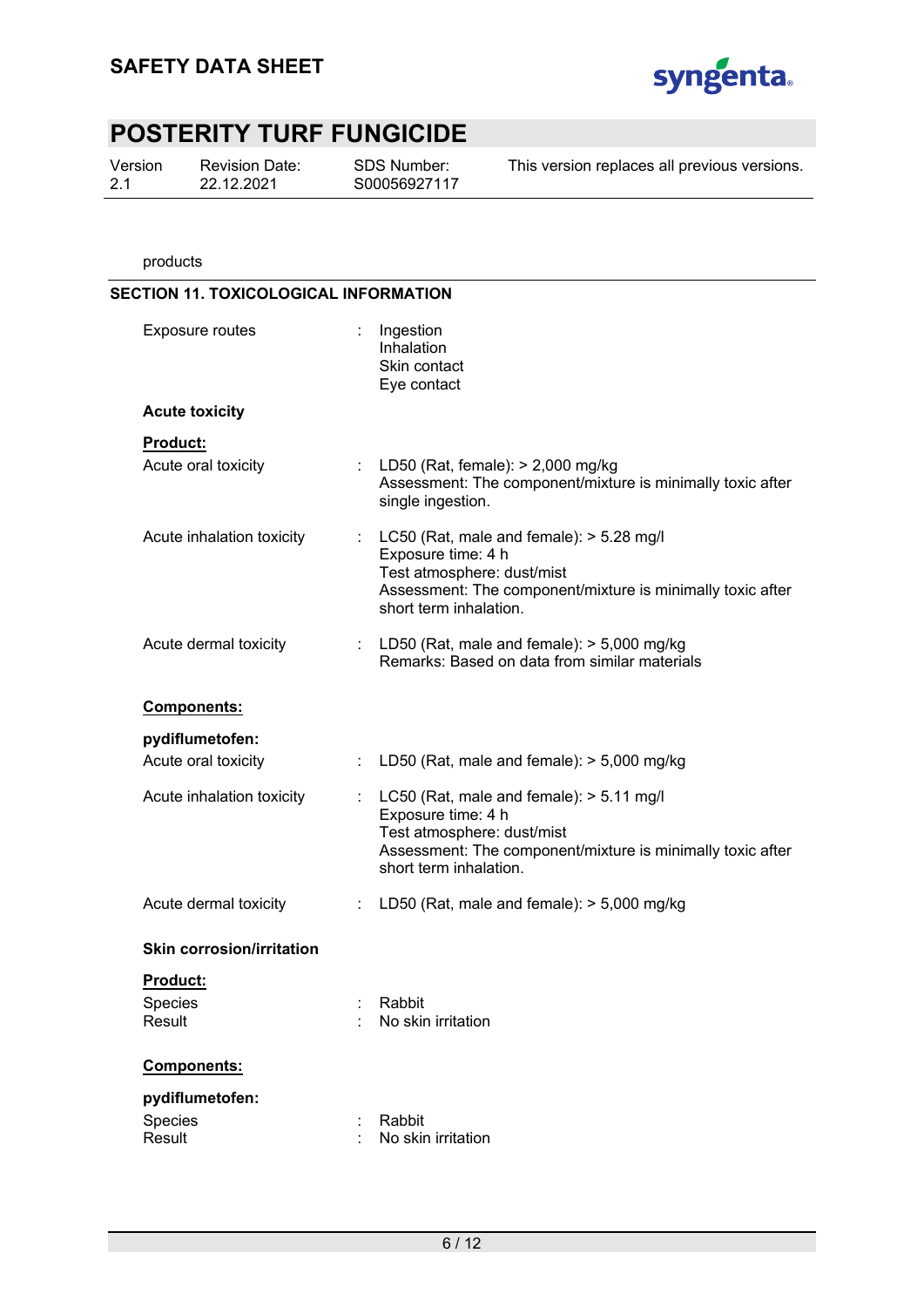

Version 2.1

Revision Date: 22.12.2021

SDS Number: S00056927117 This version replaces all previous versions.

products

| <b>SECTION 11. TOXICOLOGICAL INFORMATION</b> |                                                                                                                                                                                            |
|----------------------------------------------|--------------------------------------------------------------------------------------------------------------------------------------------------------------------------------------------|
| Exposure routes                              | : Ingestion<br>Inhalation<br>Skin contact<br>Eye contact                                                                                                                                   |
| <b>Acute toxicity</b>                        |                                                                                                                                                                                            |
| Product:                                     |                                                                                                                                                                                            |
| Acute oral toxicity                          | : LD50 (Rat, female): $> 2,000$ mg/kg<br>Assessment: The component/mixture is minimally toxic after<br>single ingestion.                                                                   |
| Acute inhalation toxicity                    | : $LC50$ (Rat, male and female): $> 5.28$ mg/l<br>Exposure time: 4 h<br>Test atmosphere: dust/mist<br>Assessment: The component/mixture is minimally toxic after<br>short term inhalation. |
| Acute dermal toxicity                        | : LD50 (Rat, male and female): $>$ 5,000 mg/kg<br>Remarks: Based on data from similar materials                                                                                            |
| Components:                                  |                                                                                                                                                                                            |
| pydiflumetofen:                              |                                                                                                                                                                                            |
| Acute oral toxicity                          | LD50 (Rat, male and female): $>$ 5,000 mg/kg                                                                                                                                               |
| Acute inhalation toxicity                    | : $LC50$ (Rat, male and female): $> 5.11$ mg/l<br>Exposure time: 4 h<br>Test atmosphere: dust/mist<br>Assessment: The component/mixture is minimally toxic after<br>short term inhalation. |
| Acute dermal toxicity                        | LD50 (Rat, male and female): $>$ 5,000 mg/kg<br>÷                                                                                                                                          |
| <b>Skin corrosion/irritation</b>             |                                                                                                                                                                                            |
| <b>Product:</b>                              |                                                                                                                                                                                            |
| Species<br>Result                            | Rabbit<br>No skin irritation                                                                                                                                                               |
| Components:                                  |                                                                                                                                                                                            |
| pydiflumetofen:                              |                                                                                                                                                                                            |
| Species<br>Result                            | Rabbit<br>No skin irritation                                                                                                                                                               |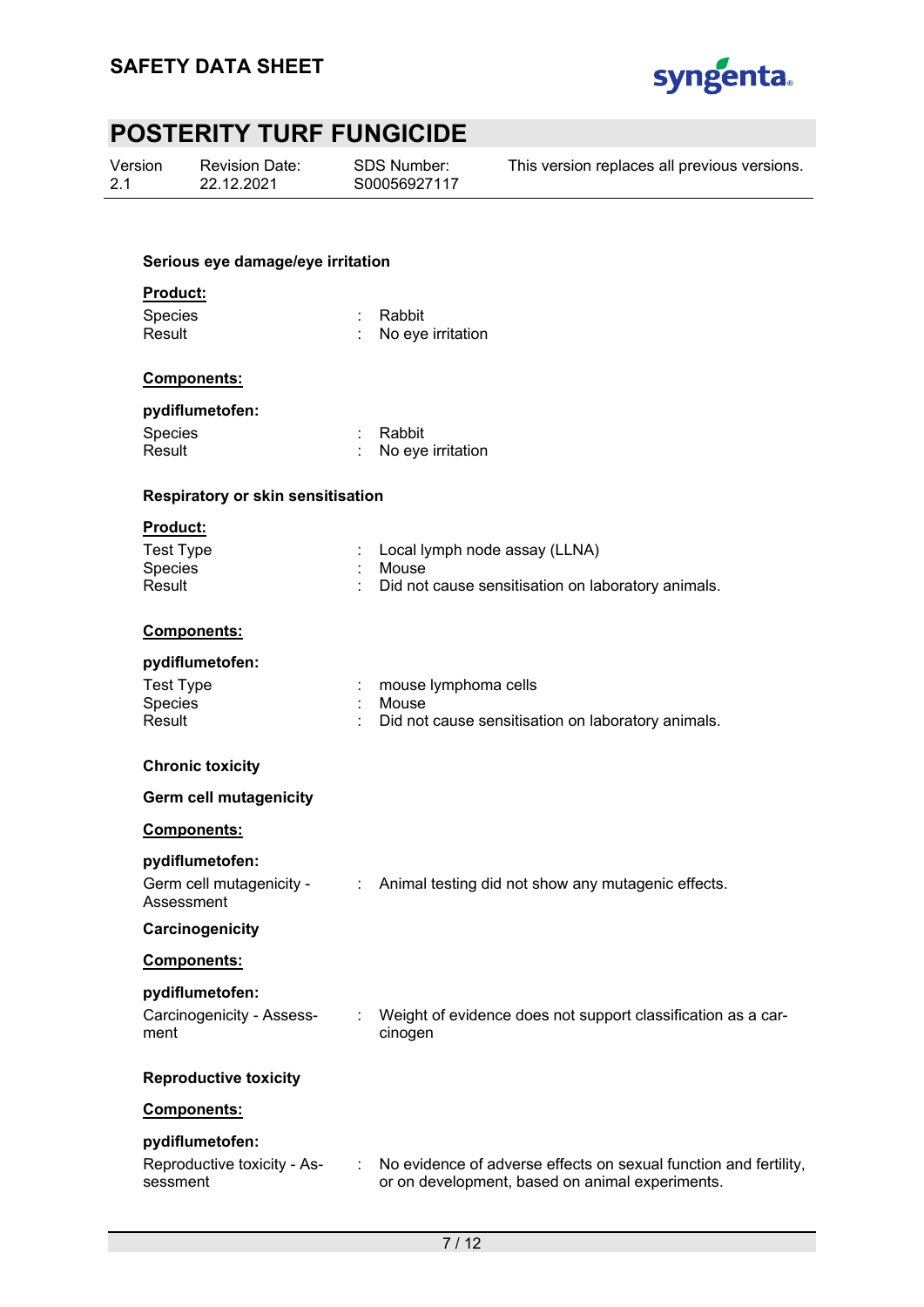

| Version |  |
|---------|--|
| 2.1     |  |

Revision Date: 22.12.2021

SDS Number: S00056927117 This version replaces all previous versions.

#### **Serious eye damage/eye irritation**

#### **Product:**

| Species | : Rabbit          |
|---------|-------------------|
| Result  | No eye irritation |

#### **Components:**

#### **pydiflumetofen:**

| Species | : Rabbit            |
|---------|---------------------|
| Result  | : No eye irritation |

#### **Respiratory or skin sensitisation**

#### **Product:**

| Test Type | : Local lymph node assay (LLNA)                      |
|-----------|------------------------------------------------------|
| Species   | : Mouse                                              |
| Result    | : Did not cause sensitisation on laboratory animals. |

#### **Components:**

### **pydiflumetofen:**

| Test Type | : mouse lymphoma cells                               |
|-----------|------------------------------------------------------|
| Species   | : Mouse                                              |
| Result    | : Did not cause sensitisation on laboratory animals. |

#### **Chronic toxicity**

sessment

| <b>Chronic toxicity</b>                                   |                |                                                                         |
|-----------------------------------------------------------|----------------|-------------------------------------------------------------------------|
| <b>Germ cell mutagenicity</b>                             |                |                                                                         |
| Components:                                               |                |                                                                         |
| pydiflumetofen:<br>Germ cell mutagenicity -<br>Assessment | ÷.             | Animal testing did not show any mutagenic effects.                      |
| Carcinogenicity                                           |                |                                                                         |
| Components:                                               |                |                                                                         |
| pydiflumetofen:<br>Carcinogenicity - Assess-<br>ment      | ÷              | Weight of evidence does not support classification as a car-<br>cinogen |
| <b>Reproductive toxicity</b>                              |                |                                                                         |
| Components:                                               |                |                                                                         |
| pydiflumetofen:<br>Reproductive toxicity - As-            | $\mathbb{R}^n$ | No evidence of adverse effects on sexual function and fertility,        |

or on development, based on animal experiments.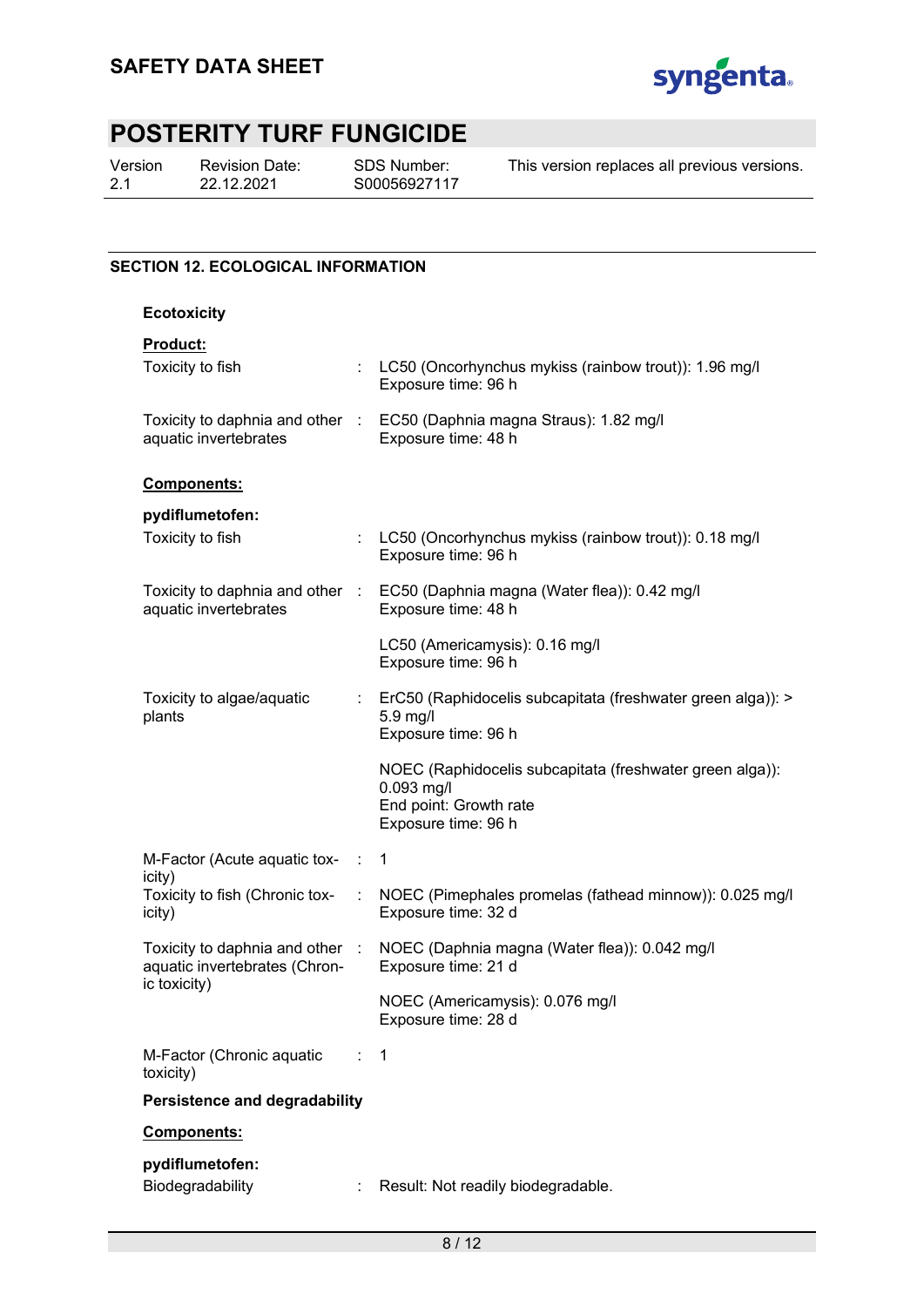

Version 2.1

Revision Date: 22.12.2021

SDS Number: S00056927117

This version replaces all previous versions.

### **SECTION 12. ECOLOGICAL INFORMATION**

#### **Ecotoxicity**

### **Product:**

|                                                                                  |            | NOEC (Americamysis): 0.076 mg/l<br>Exposure time: 28 d                                                                  |
|----------------------------------------------------------------------------------|------------|-------------------------------------------------------------------------------------------------------------------------|
| Toxicity to daphnia and other :<br>aquatic invertebrates (Chron-<br>ic toxicity) |            | NOEC (Daphnia magna (Water flea)): 0.042 mg/l<br>Exposure time: 21 d                                                    |
| icity)<br>Toxicity to fish (Chronic tox-<br>icity)                               |            | NOEC (Pimephales promelas (fathead minnow)): 0.025 mg/l<br>Exposure time: 32 d                                          |
| M-Factor (Acute aquatic tox-                                                     | $\sim 100$ | $\mathbf{1}$                                                                                                            |
|                                                                                  |            | NOEC (Raphidocelis subcapitata (freshwater green alga)):<br>0.093 mg/l<br>End point: Growth rate<br>Exposure time: 96 h |
| Toxicity to algae/aquatic<br>plants                                              |            | : ErC50 (Raphidocelis subcapitata (freshwater green alga)): ><br>5.9 mg/l<br>Exposure time: 96 h                        |
|                                                                                  |            | LC50 (Americamysis): 0.16 mg/l<br>Exposure time: 96 h                                                                   |
| aquatic invertebrates                                                            |            | Toxicity to daphnia and other : EC50 (Daphnia magna (Water flea)): 0.42 mg/l<br>Exposure time: 48 h                     |
| pydiflumetofen:<br>Toxicity to fish                                              |            | LC50 (Oncorhynchus mykiss (rainbow trout)): 0.18 mg/l<br>Exposure time: 96 h                                            |
| Components:                                                                      |            |                                                                                                                         |
| aquatic invertebrates                                                            |            | Toxicity to daphnia and other : EC50 (Daphnia magna Straus): 1.82 mg/l<br>Exposure time: 48 h                           |
| Toxicity to fish                                                                 |            | : LC50 (Oncorhynchus mykiss (rainbow trout)): 1.96 mg/l<br>Exposure time: 96 h                                          |
| <b>Product:</b>                                                                  |            |                                                                                                                         |

Biodegradability : Result: Not readily biodegradable.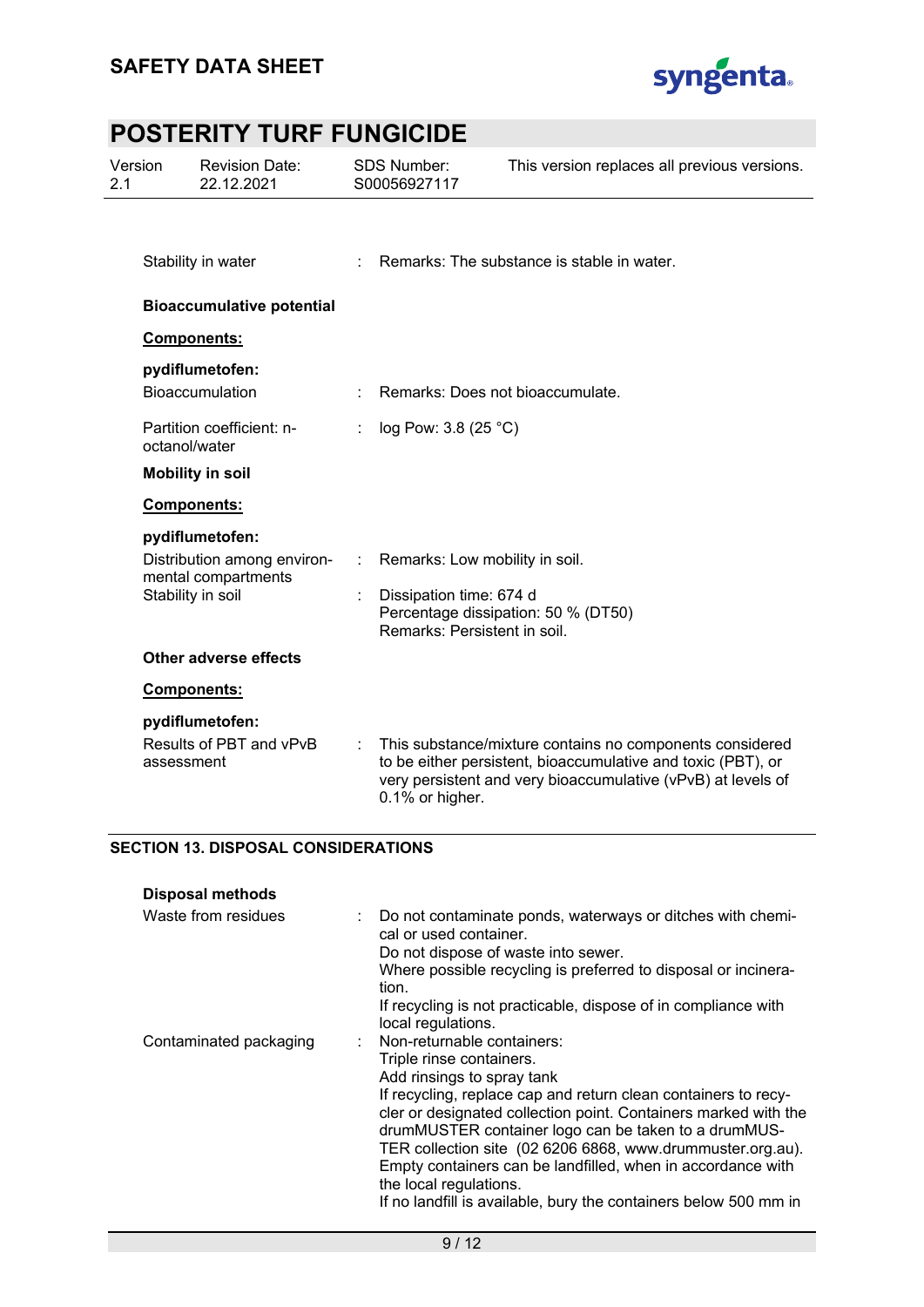

| Version<br><b>Revision Date:</b><br>22.12.2021<br>2.1 |                                            |                                                                                            | <b>SDS Number:</b><br>S00056927117 |                                                                                           | This version replaces all previous versions.                                                                                                                                             |  |
|-------------------------------------------------------|--------------------------------------------|--------------------------------------------------------------------------------------------|------------------------------------|-------------------------------------------------------------------------------------------|------------------------------------------------------------------------------------------------------------------------------------------------------------------------------------------|--|
|                                                       |                                            | Stability in water                                                                         |                                    |                                                                                           | Remarks: The substance is stable in water.                                                                                                                                               |  |
|                                                       | <b>Bioaccumulative potential</b>           |                                                                                            |                                    |                                                                                           |                                                                                                                                                                                          |  |
|                                                       |                                            | Components:                                                                                |                                    |                                                                                           |                                                                                                                                                                                          |  |
|                                                       |                                            | pydiflumetofen:<br>Bioaccumulation                                                         |                                    | Remarks: Does not bioaccumulate.                                                          |                                                                                                                                                                                          |  |
|                                                       | octanol/water                              | Partition coefficient: n-                                                                  |                                    | log Pow: 3.8 (25 °C)                                                                      |                                                                                                                                                                                          |  |
|                                                       |                                            | <b>Mobility in soil</b>                                                                    |                                    |                                                                                           |                                                                                                                                                                                          |  |
|                                                       |                                            | Components:                                                                                |                                    |                                                                                           |                                                                                                                                                                                          |  |
|                                                       |                                            | pydiflumetofen:<br>Distribution among environ-<br>mental compartments<br>Stability in soil |                                    | Remarks: Low mobility in soil.<br>Dissipation time: 674 d<br>Remarks: Persistent in soil. | Percentage dissipation: 50 % (DT50)                                                                                                                                                      |  |
|                                                       |                                            | Other adverse effects                                                                      |                                    |                                                                                           |                                                                                                                                                                                          |  |
|                                                       |                                            | Components:                                                                                |                                    |                                                                                           |                                                                                                                                                                                          |  |
|                                                       | assessment                                 | pydiflumetofen:<br>Results of PBT and vPvB                                                 |                                    | 0.1% or higher.                                                                           | This substance/mixture contains no components considered<br>to be either persistent, bioaccumulative and toxic (PBT), or<br>very persistent and very bioaccumulative (vPvB) at levels of |  |
|                                                       | <b>SECTION 13. DISPOSAL CONSIDERATIONS</b> |                                                                                            |                                    |                                                                                           |                                                                                                                                                                                          |  |

| <b>Disposal methods</b> |  |
|-------------------------|--|

| Waste from residues    | Do not contaminate ponds, waterways or ditches with chemi-<br>cal or used container. |
|------------------------|--------------------------------------------------------------------------------------|
|                        | Do not dispose of waste into sewer.                                                  |
|                        | Where possible recycling is preferred to disposal or incinera-<br>tion.              |
|                        | If recycling is not practicable, dispose of in compliance with<br>local regulations. |
| Contaminated packaging | Non-returnable containers:                                                           |
|                        | Triple rinse containers.                                                             |
|                        | Add rinsings to spray tank                                                           |
|                        | If recycling, replace cap and return clean containers to recy-                       |
|                        | cler or designated collection point. Containers marked with the                      |
|                        | drumMUSTER container logo can be taken to a drumMUS-                                 |
|                        | TER collection site (02 6206 6868, www.drummuster.org.au).                           |
|                        | Empty containers can be landfilled, when in accordance with                          |
|                        | the local regulations.                                                               |
|                        | If no landfill is available, bury the containers below 500 mm in                     |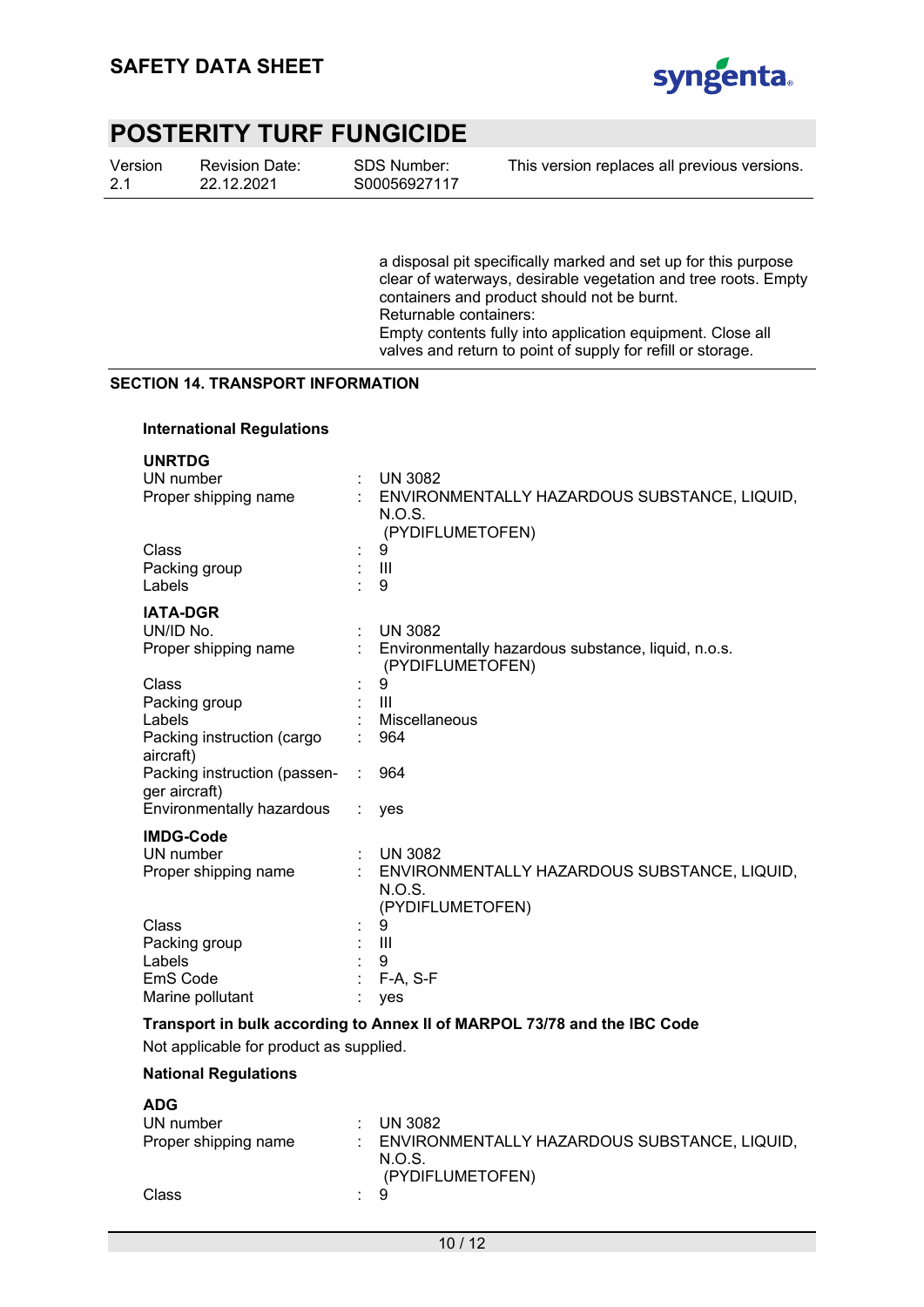

| Version | Revi |
|---------|------|
| 2.1     | 22.1 |

 $\cdots$ 

ision Date: 2.2021

SDS Number: S00056927117 This version replaces all previous versions.

a disposal pit specifically marked and set up for this purpose clear of waterways, desirable vegetation and tree roots. Empty containers and product should not be burnt. Returnable containers: Empty contents fully into application equipment. Close all valves and return to point of supply for refill or storage.

#### **SECTION 14. TRANSPORT INFORMATION**

#### **International Regulations**

|   | <b>UN 3082</b>                                      |
|---|-----------------------------------------------------|
|   | : ENVIRONMENTALLY HAZARDOUS SUBSTANCE, LIQUID,      |
|   | N.O.S.                                              |
|   | (PYDIFLUMETOFEN)                                    |
|   | 9                                                   |
|   | $\mathbf{III}$                                      |
|   | 9                                                   |
|   |                                                     |
| ÷ | <b>UN 3082</b>                                      |
|   | Environmentally hazardous substance, liquid, n.o.s. |
|   | (PYDIFLUMETOFEN)                                    |
|   | 9                                                   |
|   | Ш                                                   |
|   | Miscellaneous                                       |
|   | 964                                                 |
|   |                                                     |
|   | 964                                                 |
|   |                                                     |
|   | yes                                                 |
|   |                                                     |
|   | <b>UN 3082</b>                                      |
|   | ENVIRONMENTALLY HAZARDOUS SUBSTANCE, LIQUID,        |
|   | N.O.S.                                              |
|   | (PYDIFLUMETOFEN)                                    |
|   | 9                                                   |
|   | $\mathbf{III}$                                      |
|   | 9                                                   |
|   | $F-A, S-F$                                          |
|   | yes                                                 |
|   |                                                     |

#### **Transport in bulk according to Annex II of MARPOL 73/78 and the IBC Code**

Not applicable for product as supplied.

#### **National Regulations**

| <b>ADG</b>           |     |                                                                              |
|----------------------|-----|------------------------------------------------------------------------------|
| UN number            |     | $\therefore$ UN 3082                                                         |
| Proper shipping name |     | : ENVIRONMENTALLY HAZARDOUS SUBSTANCE, LIQUID,<br>N.O.S.<br>(PYDIFLUMETOFEN) |
| Class                | : 9 |                                                                              |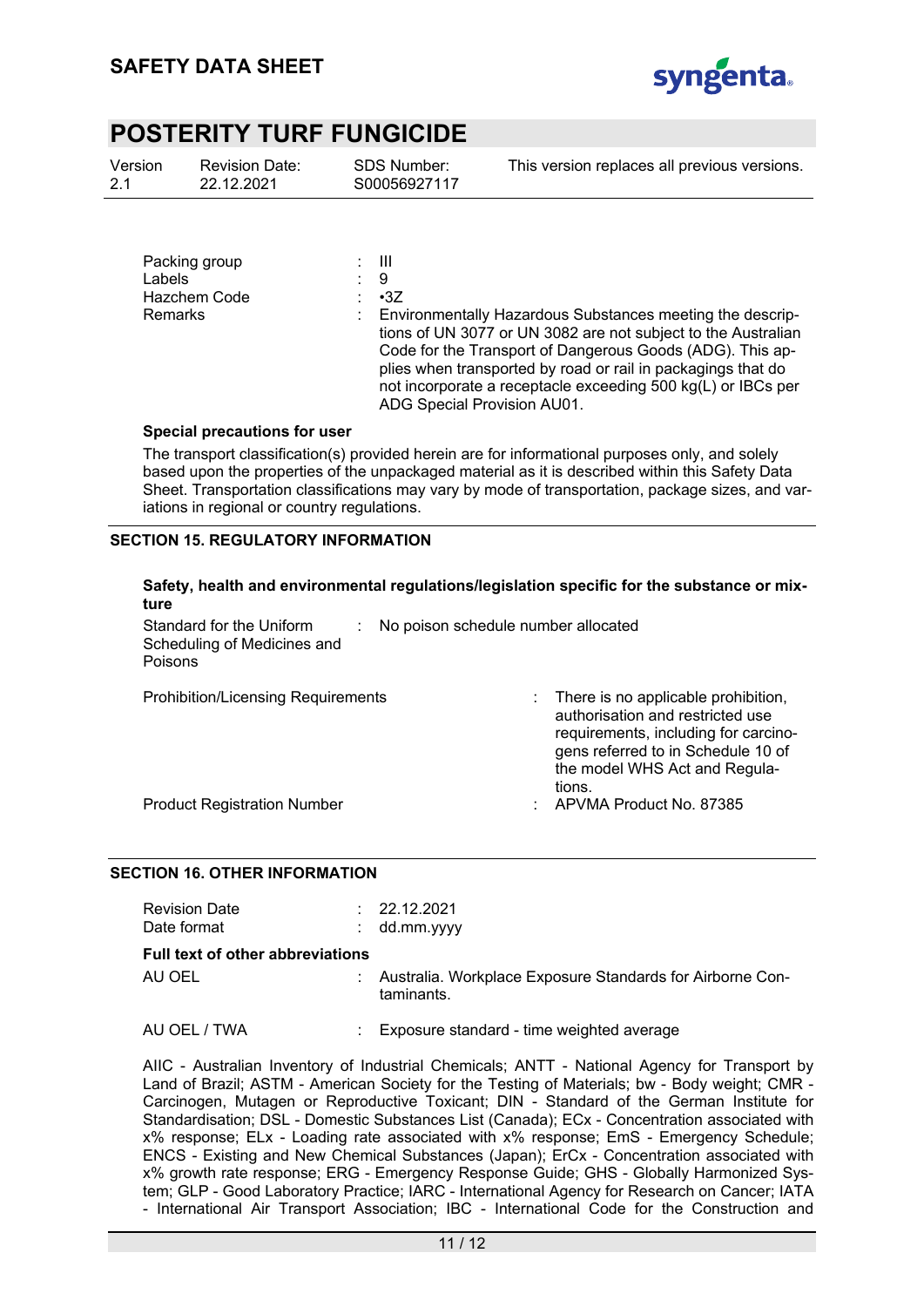

| Version | Revi |
|---------|------|
| 2.1     | 22.1 |

ision Date: 2.2021

SDS Number: S00056927117 This version replaces all previous versions.

| Packing group<br><b>Labels</b><br>Hazchem Code<br><b>Remarks</b> | - 111<br>: 9<br>$-3Z$<br>Environmentally Hazardous Substances meeting the descrip-<br>tions of UN 3077 or UN 3082 are not subject to the Australian<br>Code for the Transport of Dangerous Goods (ADG). This ap-<br>plies when transported by road or rail in packagings that do |
|------------------------------------------------------------------|----------------------------------------------------------------------------------------------------------------------------------------------------------------------------------------------------------------------------------------------------------------------------------|
|                                                                  | not incorporate a receptacle exceeding 500 kg(L) or IBCs per                                                                                                                                                                                                                     |

#### **Special precautions for user**

The transport classification(s) provided herein are for informational purposes only, and solely based upon the properties of the unpackaged material as it is described within this Safety Data Sheet. Transportation classifications may vary by mode of transportation, package sizes, and variations in regional or country regulations.

ADG Special Provision AU01.

#### **SECTION 15. REGULATORY INFORMATION**

| ture                                                                      |                                     | Safety, health and environmental regulations/legislation specific for the substance or mix-                                                                                                      |
|---------------------------------------------------------------------------|-------------------------------------|--------------------------------------------------------------------------------------------------------------------------------------------------------------------------------------------------|
| Standard for the Uniform<br>Scheduling of Medicines and<br><b>Poisons</b> | No poison schedule number allocated |                                                                                                                                                                                                  |
| <b>Prohibition/Licensing Requirements</b>                                 |                                     | There is no applicable prohibition,<br>authorisation and restricted use<br>requirements, including for carcino-<br>gens referred to in Schedule 10 of<br>the model WHS Act and Regula-<br>tions. |

Product Registration Number : APVMA Product No. 87385

#### **SECTION 16. OTHER INFORMATION**

| <b>Revision Date</b><br>Date format     | : 22.12.2021<br>$:$ dd.mm.yyyy                                          |
|-----------------------------------------|-------------------------------------------------------------------------|
| <b>Full text of other abbreviations</b> |                                                                         |
| AU OEL                                  | Australia. Workplace Exposure Standards for Airborne Con-<br>taminants. |
| AU OEL / TWA                            | : Exposure standard - time weighted average                             |

AIIC - Australian Inventory of Industrial Chemicals; ANTT - National Agency for Transport by Land of Brazil; ASTM - American Society for the Testing of Materials; bw - Body weight; CMR - Carcinogen, Mutagen or Reproductive Toxicant; DIN - Standard of the German Institute for Standardisation; DSL - Domestic Substances List (Canada); ECx - Concentration associated with x% response; ELx - Loading rate associated with x% response; EmS - Emergency Schedule; ENCS - Existing and New Chemical Substances (Japan); ErCx - Concentration associated with x% growth rate response; ERG - Emergency Response Guide; GHS - Globally Harmonized System; GLP - Good Laboratory Practice; IARC - International Agency for Research on Cancer; IATA - International Air Transport Association; IBC - International Code for the Construction and